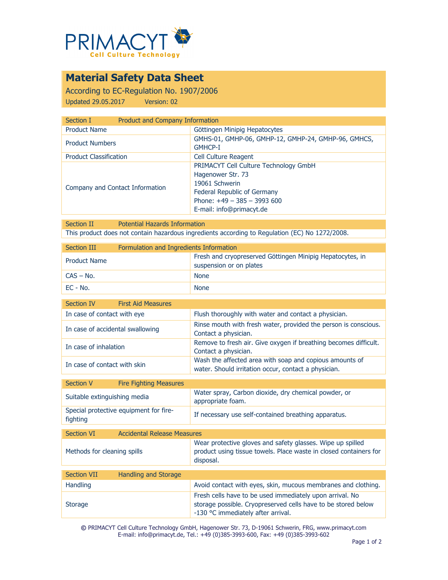

# **Material Safety Data Sheet**

According to EC-Regulation No. 1907/2006 Updated 29.05.2017 Version: 02

| Section I                       | Product and Company Information                                                                                                                                         |  |
|---------------------------------|-------------------------------------------------------------------------------------------------------------------------------------------------------------------------|--|
| <b>Product Name</b>             | Göttingen Minipig Hepatocytes                                                                                                                                           |  |
| <b>Product Numbers</b>          | GMHS-01, GMHP-06, GMHP-12, GMHP-24, GMHP-96, GMHCS,<br><b>GMHCP-I</b>                                                                                                   |  |
| <b>Product Classification</b>   | <b>Cell Culture Reagent</b>                                                                                                                                             |  |
| Company and Contact Information | PRIMACYT Cell Culture Technology GmbH<br>Hagenower Str. 73<br>19061 Schwerin<br>Federal Republic of Germany<br>Phone: $+49 - 385 - 3993600$<br>E-mail: info@primacyt.de |  |

Section II Potential Hazards Information This product does not contain hazardous ingredients according to Regulation (EC) No 1272/2008.

| Section III         | Formulation and Ingredients Information |                                                                                      |
|---------------------|-----------------------------------------|--------------------------------------------------------------------------------------|
| <b>Product Name</b> |                                         | Fresh and cryopreserved Göttingen Minipig Hepatocytes, in<br>suspension or on plates |
| $CAS - No.$         |                                         | <b>None</b>                                                                          |
| EC - No.            |                                         | <b>None</b>                                                                          |

| Section IV                       | <b>First Aid Measures</b> |                                                                                                                 |
|----------------------------------|---------------------------|-----------------------------------------------------------------------------------------------------------------|
| In case of contact with eye      |                           | Flush thoroughly with water and contact a physician.                                                            |
| In case of accidental swallowing |                           | Rinse mouth with fresh water, provided the person is conscious.<br>Contact a physician.                         |
| In case of inhalation            |                           | Remove to fresh air. Give oxygen if breathing becomes difficult.<br>Contact a physician.                        |
| In case of contact with skin     |                           | Wash the affected area with soap and copious amounts of<br>water. Should irritation occur, contact a physician. |

| Section V  | <b>Fire Fighting Measures</b>          |                                                                           |
|------------|----------------------------------------|---------------------------------------------------------------------------|
|            | Suitable extinguishing media           | Water spray, Carbon dioxide, dry chemical powder, or<br>appropriate foam. |
| fighting   | Special protective equipment for fire- | If necessary use self-contained breathing apparatus.                      |
|            |                                        |                                                                           |
| Section VI | Accidental Delegge Meacurec            |                                                                           |

| <b>JELLIUII VI</b>          | ACCIDENTAL INCIERSE PIEGSULES |                                                                                                                                                                 |
|-----------------------------|-------------------------------|-----------------------------------------------------------------------------------------------------------------------------------------------------------------|
| Methods for cleaning spills |                               | Wear protective gloves and safety glasses. Wipe up spilled<br>product using tissue towels. Place waste in closed containers for<br>disposal.                    |
|                             |                               |                                                                                                                                                                 |
| <b>Section VII</b>          | Handling and Storage          |                                                                                                                                                                 |
| <b>Handling</b>             |                               | Avoid contact with eyes, skin, mucous membranes and clothing.                                                                                                   |
| <b>Storage</b>              |                               | Fresh cells have to be used immediately upon arrival. No<br>storage possible. Cryopreserved cells have to be stored below<br>-130 °C immediately after arrival. |

**©** PRIMACYT Cell Culture Technology GmbH, Hagenower Str. 73, D-19061 Schwerin, FRG, www.primacyt.com E-mail: info@primacyt.de, Tel.: +49 (0)385-3993-600, Fax: +49 (0)385-3993-602